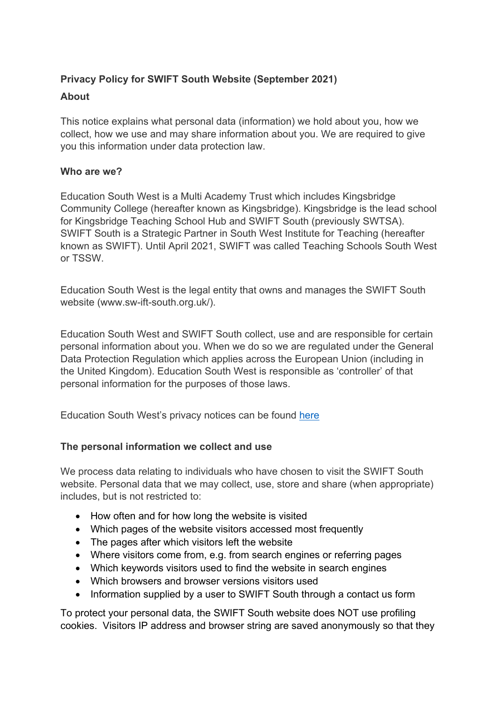# **Privacy Policy for SWIFT South Website (September 2021)**

# **About**

This notice explains what personal data (information) we hold about you, how we collect, how we use and may share information about you. We are required to give you this information under data protection law.

# **Who are we?**

Education South West is a Multi Academy Trust which includes Kingsbridge Community College (hereafter known as Kingsbridge). Kingsbridge is the lead school for Kingsbridge Teaching School Hub and SWIFT South (previously SWTSA). SWIFT South is a Strategic Partner in South West Institute for Teaching (hereafter known as SWIFT). Until April 2021, SWIFT was called Teaching Schools South West or TSSW.

Education South West is the legal entity that owns and manages the SWIFT South website (www.sw-ift-south.org.uk/).

Education South West and SWIFT South collect, use and are responsible for certain personal information about you. When we do so we are regulated under the General Data Protection Regulation which applies across the European Union (including in the United Kingdom). Education South West is responsible as 'controller' of that personal information for the purposes of those laws.

Education South West's privacy notices can be found here

# **The personal information we collect and use**

We process data relating to individuals who have chosen to visit the SWIFT South website. Personal data that we may collect, use, store and share (when appropriate) includes, but is not restricted to:

- How often and for how long the website is visited
- Which pages of the website visitors accessed most frequently
- The pages after which visitors left the website
- Where visitors come from, e.g. from search engines or referring pages
- Which keywords visitors used to find the website in search engines
- Which browsers and browser versions visitors used
- Information supplied by a user to SWIFT South through a contact us form

To protect your personal data, the SWIFT South website does NOT use profiling cookies. Visitors IP address and browser string are saved anonymously so that they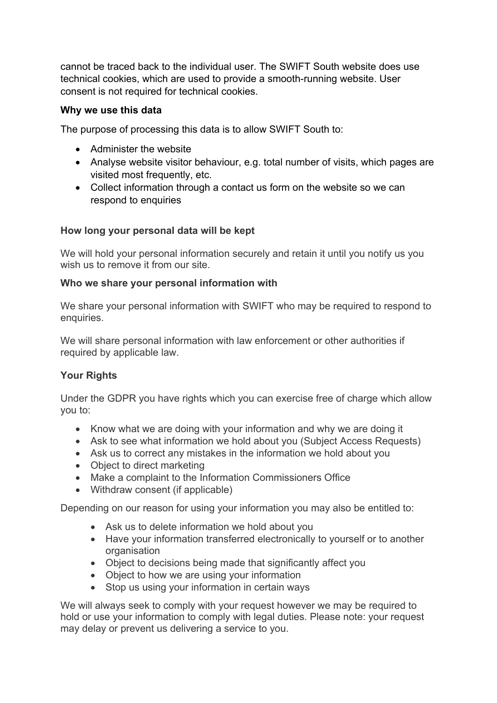cannot be traced back to the individual user. The SWIFT South website does use technical cookies, which are used to provide a smooth-running website. User consent is not required for technical cookies.

## **Why we use this data**

The purpose of processing this data is to allow SWIFT South to:

- Administer the website
- Analyse website visitor behaviour, e.g. total number of visits, which pages are visited most frequently, etc.
- Collect information through a contact us form on the website so we can respond to enquiries

## **How long your personal data will be kept**

We will hold your personal information securely and retain it until you notify us you wish us to remove it from our site.

### **Who we share your personal information with**

We share your personal information with SWIFT who may be required to respond to enquiries.

We will share personal information with law enforcement or other authorities if required by applicable law.

# **Your Rights**

Under the GDPR you have rights which you can exercise free of charge which allow you to:

- Know what we are doing with your information and why we are doing it
- Ask to see what information we hold about you (Subject Access Requests)
- Ask us to correct any mistakes in the information we hold about you
- Object to direct marketing
- Make a complaint to the Information Commissioners Office
- Withdraw consent (if applicable)

Depending on our reason for using your information you may also be entitled to:

- Ask us to delete information we hold about you
- Have your information transferred electronically to yourself or to another organisation
- Object to decisions being made that significantly affect you
- Object to how we are using your information
- Stop us using your information in certain ways

We will always seek to comply with your request however we may be required to hold or use your information to comply with legal duties. Please note: your request may delay or prevent us delivering a service to you.